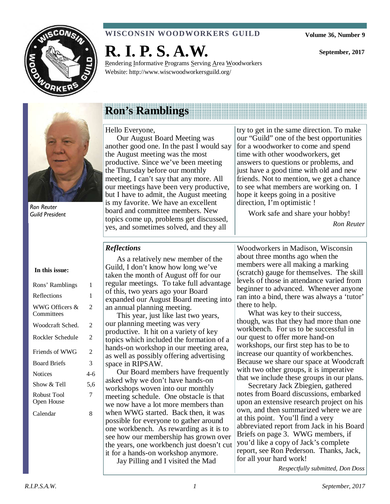

### **WISCONSIN WOODWORKERS GUILD**

**R. I. P. S. A.W.** 

Rendering Informative Programs Serving Area Woodworkers Website: http://www.wiscwoodworkersguild.org/

**September, 2017** 



Ron Reuter Guild President

## **Ron's Ramblings**

#### Hello Everyone,

Our August Board Meeting was another good one. In the past I would say the August meeting was the most productive. Since we've been meeting the Thursday before our monthly meeting, I can't say that any more. All our meetings have been very productive, but I have to admit, the August meeting is my favorite. We have an excellent board and committee members. New topics come up, problems get discussed, yes, and sometimes solved, and they all

try to get in the same direction. To make our "Guild" one of the best opportunities for a woodworker to come and spend time with other woodworkers, get answers to questions or problems, and just have a good time with old and new friends. Not to mention, we get a chance to see what members are working on. I hope it keeps going in a positive direction, I'm optimistic !

Work safe and share your hobby!

*Ron Reuter* 

#### *Reflections*

#### **In this issue:**

| Rons' Ramblings              | 1     |
|------------------------------|-------|
| Reflections                  | 1     |
| WWG Officers &<br>Committees | 2     |
| Woodcraft Sched.             | 2     |
| Rockler Schedule             | 2     |
| Friends of WWG               | 2     |
| <b>Board Briefs</b>          | 3     |
| <b>Notices</b>               | $4-6$ |
| Show & Tell                  | 5.6   |
| Robust Tool<br>Open House    | 7     |
| Calendar                     | 8     |

As a relatively new member of the Guild, I don't know how long we've taken the month of August off for our regular meetings. To take full advantage of this, two years ago your Board expanded our August Board meeting into an annual planning meeting.

This year, just like last two years, our planning meeting was very productive. It hit on a variety of key topics which included the formation of a hands-on workshop in our meeting area, as well as possibly offering advertising space in RIPSAW.

Our Board members have frequently asked why we don't have hands-on workshops woven into our monthly meeting schedule. One obstacle is that we now have a lot more members than when WWG started. Back then, it was possible for everyone to gather around one workbench. As rewarding as it is to see how our membership has grown over the years, one workbench just doesn't cut it for a hands-on workshop anymore. Jay Pilling and I visited the Mad

Woodworkers in Madison, Wisconsin about three months ago when the members were all making a marking (scratch) gauge for themselves. The skill levels of those in attendance varied from beginner to advanced. Whenever anyone ran into a bind, there was always a 'tutor' there to help.

What was key to their success, though, was that they had more than one workbench. For us to be successful in our quest to offer more hand-on workshops, our first step has to be to increase our quantity of workbenches. Because we share our space at Woodcraft with two other groups, it is imperative that we include these groups in our plans.

Secretary Jack Zbiegien, gathered notes from Board discussions, embarked upon an extensive research project on his own, and then summarized where we are at this point. You'll find a very abbreviated report from Jack in his Board Briefs on page 3. WWG members, if you'd like a copy of Jack's complete report, see Ron Pederson. Thanks, Jack, for all your hard work!

*Respectfully submitted, Don Doss*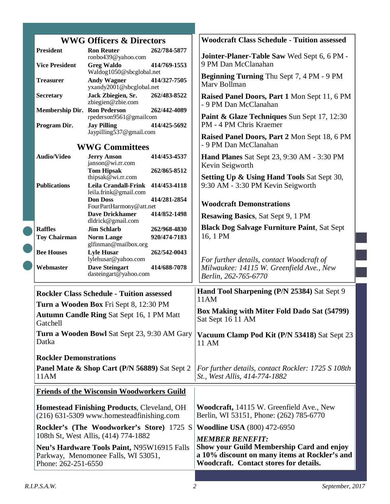| <b>WWG Officers &amp; Directors</b>                                                                                                               |                                                                                                   | <b>Woodcraft Class Schedule - Tuition assessed</b>                                                                                                                    |
|---------------------------------------------------------------------------------------------------------------------------------------------------|---------------------------------------------------------------------------------------------------|-----------------------------------------------------------------------------------------------------------------------------------------------------------------------|
| <b>President</b>                                                                                                                                  | <b>Ron Reuter</b><br>262/784-5877<br>ronbo439@yahoo.com                                           | Jointer-Planer-Table Saw Wed Sept 6, 6 PM -                                                                                                                           |
| <b>Vice President</b>                                                                                                                             | <b>Greg Waldo</b><br>414/769-1553<br>Waldog1050@sbcglobal.net                                     | 9 PM Dan McClanahan                                                                                                                                                   |
| <b>Treasurer</b>                                                                                                                                  | <b>Andy Wagner</b><br>414/327-7505<br>yxandy2001@sbcglobal.net                                    | Beginning Turning Thu Sept 7, 4 PM - 9 PM<br>Mary Bollman                                                                                                             |
| <b>Secretary</b>                                                                                                                                  | 262/483-8522<br>Jack Zbiegien, Sr.<br>zbiegien@zbie.com                                           | Raised Panel Doors, Part 1 Mon Sept 11, 6 PM<br>- 9 PM Dan McClanahan                                                                                                 |
|                                                                                                                                                   | <b>Membership Dir. Ron Pederson</b><br>262/442-4089<br>rpederson9561@gmailcom                     | Paint & Glaze Techniques Sun Sept 17, 12:30                                                                                                                           |
| Program Dir.                                                                                                                                      | <b>Jay Pilling</b><br>414/425-5692<br>Jaypilling537@gmail.com                                     | PM - 4 PM Chris Kraemer                                                                                                                                               |
| <b>WWG Committees</b>                                                                                                                             |                                                                                                   | Raised Panel Doors, Part 2 Mon Sept 18, 6 PM<br>- 9 PM Dan McClanahan                                                                                                 |
| <b>Audio/Video</b>                                                                                                                                | <b>Jerry Anson</b><br>414/453-4537<br>janson@wi.rr.com                                            | <b>Hand Planes Sat Sept 23, 9:30 AM - 3:30 PM</b>                                                                                                                     |
|                                                                                                                                                   | <b>Tom Hipsak</b><br>262/865-8512<br>thipsak $\bar{\omega}$ wi.rr.com                             | Kevin Seigworth<br><b>Setting Up &amp; Using Hand Tools Sat Sept 30,</b>                                                                                              |
| <b>Publications</b>                                                                                                                               | <b>Leila Crandall-Frink</b><br>414/453-4118<br>leila.frink@gmail.com                              | 9:30 AM - 3:30 PM Kevin Seigworth                                                                                                                                     |
|                                                                                                                                                   | <b>Don Doss</b><br>414/281-2854<br>FourPartHarmony@att.net                                        | <b>Woodcraft Demonstrations</b>                                                                                                                                       |
|                                                                                                                                                   | <b>Dave Drickhamer</b><br>414/852-1498<br>dldrick@gmail.com                                       | <b>Resawing Basics, Sat Sept 9, 1 PM</b>                                                                                                                              |
| <b>Raffles</b>                                                                                                                                    | <b>Jim Schlarb</b><br>262/968-4830                                                                | <b>Black Dog Salvage Furniture Paint, Sat Sept</b>                                                                                                                    |
| <b>Toy Chairman</b>                                                                                                                               | 920/474-7183<br><b>Norm Lange</b><br>glfinman@mailbox.org                                         | 16, 1 PM                                                                                                                                                              |
| <b>Bee Houses</b>                                                                                                                                 | <b>Lyle Husar</b><br>262/542-0043<br>lylehusar@yahoo.com                                          | For further details, contact Woodcraft of                                                                                                                             |
| Webmaster                                                                                                                                         | <b>Dave Steingart</b><br>414/688-7078<br>dasteingart@yahoo.com                                    | Milwaukee: 14115 W. Greenfield Ave., New<br>Berlin, 262-765-6770                                                                                                      |
|                                                                                                                                                   | <b>Rockler Class Schedule - Tuition assessed</b>                                                  | Hand Tool Sharpening (P/N 25384) Sat Sept 9<br>11AM                                                                                                                   |
| Turn a Wooden Box Fri Sept 8, 12:30 PM                                                                                                            |                                                                                                   | Box Making with Miter Fold Dado Sat (54799)                                                                                                                           |
| Gatchell                                                                                                                                          | Autumn Candle Ring Sat Sept 16, 1 PM Matt                                                         | Sat Sept 16 11 AM                                                                                                                                                     |
| Datka                                                                                                                                             | <b>Turn a Wooden Bowl Sat Sept 23, 9:30 AM Gary</b>                                               | Vacuum Clamp Pod Kit (P/N 53418) Sat Sept 23<br>11 AM                                                                                                                 |
| <b>Rockler Demonstrations</b>                                                                                                                     |                                                                                                   |                                                                                                                                                                       |
| 11AM                                                                                                                                              | Panel Mate & Shop Cart (P/N 56889) Sat Sept 2                                                     | For further details, contact Rockler: 1725 S 108th<br>St., West Allis, 414-774-1882                                                                                   |
|                                                                                                                                                   | <b>Friends of the Wisconsin Woodworkers Guild</b>                                                 |                                                                                                                                                                       |
|                                                                                                                                                   | <b>Homestead Finishing Products, Cleveland, OH</b><br>$(216)$ 631-5309 www.homesteadfinishing.com | Woodcraft, 14115 W. Greenfield Ave., New<br>Berlin, WI 53151, Phone: (262) 785-6770                                                                                   |
|                                                                                                                                                   | Rockler's (The Woodworker's Store) 1725 S                                                         | <b>Woodline USA</b> (800) 472-6950                                                                                                                                    |
| 108th St, West Allis, (414) 774-1882<br>Neu's Hardware Tools Paint, N95W16915 Falls<br>Parkway, Menomonee Falls, WI 53051,<br>Phone: 262-251-6550 |                                                                                                   | <b>MEMBER BENEFIT:</b><br><b>Show your Guild Membership Card and enjoy</b><br>a 10% discount on many items at Rockler's and<br>Woodcraft. Contact stores for details. |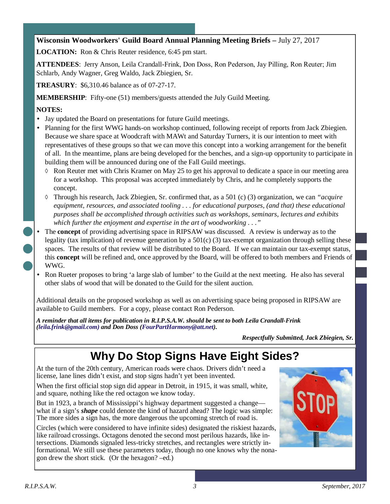### **Wisconsin Woodworkers' Guild Board Annual Planning Meeting Briefs –** July 27, 2017

**LOCATION:** Ron & Chris Reuter residence, 6:45 pm start.

**ATTENDEES**: Jerry Anson, Leila Crandall-Frink, Don Doss, Ron Pederson, Jay Pilling, Ron Reuter; Jim Schlarb, Andy Wagner, Greg Waldo, Jack Zbiegien, Sr.

**TREASURY**: \$6,310.46 balance as of 07-27-17.

**MEMBERSHIP**: Fifty-one (51) members/guests attended the July Guild Meeting.

#### **NOTES:**

- Jay updated the Board on presentations for future Guild meetings.
- Planning for the first WWG hands-on workshop continued, following receipt of reports from Jack Zbiegien. Because we share space at Woodcraft with MAWt and Saturday Turners, it is our intention to meet with representatives of these groups so that we can move this concept into a working arrangement for the benefit of all. In the meantime, plans are being developed for the benches, and a sign-up opportunity to participate in building them will be announced during one of the Fall Guild meetings.
	- ◊ Ron Reuter met with Chris Kramer on May 25 to get his approval to dedicate a space in our meeting area for a workshop. This proposal was accepted immediately by Chris, and he completely supports the concept.
	- ◊ Through his research, Jack Zbiegien, Sr. confirmed that, as a 501 (c) (3) organization, we can *"acquire equipment, resources, and associated tooling . . . for educational purposes, (and that) these educational purposes shall be accomplished through activities such as workshops, seminars, lectures and exhibits which further the enjoyment and expertise in the art of woodworking . . ."*
- The **concept** of providing advertising space in RIPSAW was discussed. A review is underway as to the legality (tax implication) of revenue generation by a  $501(c)$  (3) tax-exempt organization through selling these spaces. The results of that review will be distributed to the Board. If we can maintain our tax-exempt status, this **concept** will be refined and, once approved by the Board, will be offered to both members and Friends of WWG.
- Ron Rueter proposes to bring 'a large slab of lumber' to the Guild at the next meeting. He also has several other slabs of wood that will be donated to the Guild for the silent auction.

Additional details on the proposed workshop as well as on advertising space being proposed in RIPSAW are available to Guild members. For a copy, please contact Ron Pederson.

*A reminder that all items for publication in R.I.P.S.A.W. should be sent to both Leila Crandall-Frink (leila.frink@gmail.com) and Don Doss (FourPartHarmony@att.net).* 

*Respectfully Submitted, Jack Zbiegien, Sr.* 

# **Why Do Stop Signs Have Eight Sides?**

At the turn of the 20th century, American roads were chaos. Drivers didn't need a license, lane lines didn't exist, and stop signs hadn't yet been invented.

When the first official stop sign did appear in Detroit, in 1915, it was small, white, and square, nothing like the red octagon we know today.

But in 1923, a branch of Mississippi's highway department suggested a change what if a sign's *shape* could denote the kind of hazard ahead? The logic was simple: The more sides a sign has, the more dangerous the upcoming stretch of road is.

Circles (which were considered to have infinite sides) designated the riskiest hazards, like railroad crossings. Octagons denoted the second most perilous hazards, like intersections. Diamonds signaled less-tricky stretches, and rectangles were strictly informational. We still use these parameters today, though no one knows why the nonagon drew the short stick. (Or the hexagon? –ed.)

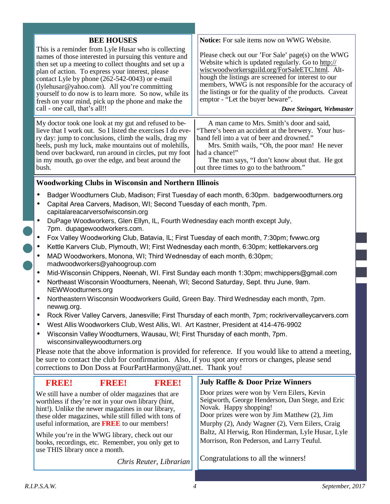| <b>BEE HOUSES</b>                                                                                                                                                                                                                                                                                                                                                                                                                                                               | <b>Notice:</b> For sale items now on WWG Website.                                                                                                                                                                                                                                                                                                                                                   |  |
|---------------------------------------------------------------------------------------------------------------------------------------------------------------------------------------------------------------------------------------------------------------------------------------------------------------------------------------------------------------------------------------------------------------------------------------------------------------------------------|-----------------------------------------------------------------------------------------------------------------------------------------------------------------------------------------------------------------------------------------------------------------------------------------------------------------------------------------------------------------------------------------------------|--|
| This is a reminder from Lyle Husar who is collecting<br>names of those interested in pursuing this venture and<br>then set up a meeting to collect thoughts and set up a<br>plan of action. To express your interest, please<br>contact Lyle by phone (262-542-0043) or e-mail<br>(lylehusar@yahoo.com). All you're committing<br>yourself to do now is to learn more. So now, while its<br>fresh on your mind, pick up the phone and make the<br>call - one call, that's all!! | Please check out our 'For Sale' page(s) on the WWG<br>Website which is updated regularly. Go to http://<br>wiscwoodworkersguild.org/ForSaleETC.html. Alt-<br>hough the listings are screened for interest to our<br>members, WWG is not responsible for the accuracy of<br>the listings or for the quality of the products. Caveat<br>emptor - "Let the buyer beware".<br>Dave Steingart, Webmaster |  |
| My doctor took one look at my gut and refused to be-<br>lieve that I work out. So I listed the exercises I do eve-<br>ry day: jump to conclusions, climb the walls, drag my<br>heels, push my luck, make mountains out of molehills,<br>bend over backward, run around in circles, put my foot<br>in my mouth, go over the edge, and beat around the<br>bush.                                                                                                                   | A man came to Mrs. Smith's door and said,<br>"There's been an accident at the brewery. Your hus-<br>band fell into a vat of beer and drowned."<br>Mrs. Smith wails, "Oh, the poor man! He never<br>had a chance!"<br>The man says, "I don't know about that. He got<br>out three times to go to the bathroom."                                                                                      |  |
| <b>Woodworking Clubs in Wisconsin and Northern Illinois</b>                                                                                                                                                                                                                                                                                                                                                                                                                     |                                                                                                                                                                                                                                                                                                                                                                                                     |  |
| Badger Woodturners Club, Madison; First Tuesday of each month, 6:30pm. badgerwoodturners.org                                                                                                                                                                                                                                                                                                                                                                                    |                                                                                                                                                                                                                                                                                                                                                                                                     |  |

- Capital Area Carvers, Madison, WI; Second Tuesday of each month, 7pm. capitalareacarversofwisconsin.org
- DuPage Woodworkers, Glen Ellyn, IL, Fourth Wednesday each month except July, 7pm. dupagewoodworkers.com.
- Fox Valley Woodworking Club, Batavia, IL; First Tuesday of each month, 7:30pm; fvwwc.org
- Kettle Karvers Club, Plymouth, WI; First Wednesday each month, 6:30pm; kettlekarvers.org
- MAD Woodworkers, Monona, WI; Third Wednesday of each month, 6:30pm; madwoodworkers@yahoogroup.com
- Mid-Wisconsin Chippers, Neenah, WI. First Sunday each month 1:30pm; mwchippers@gmail.com
- Northeast Wisconsin Woodturners, Neenah, WI; Second Saturday, Sept. thru June, 9am. NEWWoodturners.org
- Northeastern Wisconsin Woodworkers Guild, Green Bay. Third Wednesday each month, 7pm. newwg.org.
- Rock River Valley Carvers, Janesville; First Thursday of each month, 7pm; rockrivervalleycarvers.com
- West Allis Woodworkers Club, West Allis, WI. Art Kastner, President at 414-476-9902
- Wisconsin Valley Woodturners, Wausau, WI; First Thursday of each month, 7pm. wisconsinvalleywoodturners.org

Please note that the above information is provided for reference. If you would like to attend a meeting, be sure to contact the club for confirmation. Also, if you spot any errors or changes, please send corrections to Don Doss at FourPartHarmony@att.net. Thank you!

| <b>BRBB</b>                                                                                                                           | <b>RRBE</b>                                                                                                                                                                                                                                                                      | <b>RRBB</b>             | <b>July Raffle &amp; Door Prize Winners</b>                                                                                                                                                                                 |
|---------------------------------------------------------------------------------------------------------------------------------------|----------------------------------------------------------------------------------------------------------------------------------------------------------------------------------------------------------------------------------------------------------------------------------|-------------------------|-----------------------------------------------------------------------------------------------------------------------------------------------------------------------------------------------------------------------------|
|                                                                                                                                       | We still have a number of older magazines that are<br>worthless if they're not in your own library (hint,<br>hint!). Unlike the newer magazines in our library,<br>these older magazines, while still filled with tons of<br>useful information, are <b>FREE</b> to our members! |                         | Door prizes were won by Vern Eilers, Kevin<br>Seigworth, George Henderson, Dan Stege, and Eric<br>Novak. Happy shopping!<br>Door prizes were won by Jim Matthew (2), Jim<br>Murphy (2), Andy Wagner (2), Vern Eilers, Craig |
| While you're in the WWG library, check out our<br>books, recordings, etc. Remember, you only get to<br>use THIS library once a month. |                                                                                                                                                                                                                                                                                  |                         | Baltz, Al Herwig, Ron Hinderman, Lyle Husar, Lyle<br>Morrison, Ron Pederson, and Larry Teuful.                                                                                                                              |
|                                                                                                                                       |                                                                                                                                                                                                                                                                                  | Chris Reuter, Librarian | Congratulations to all the winners!                                                                                                                                                                                         |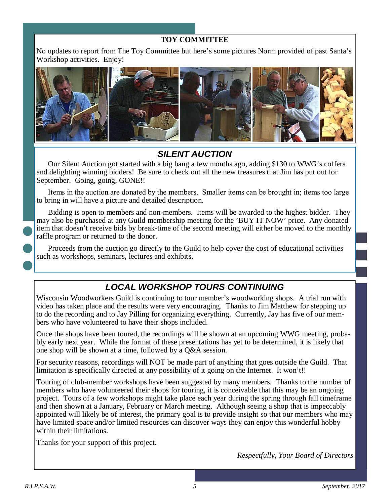### **TOY COMMITTEE**

No updates to report from The Toy Committee but here's some pictures Norm provided of past Santa's Workshop activities. Enjoy!



### **SILENT AUCTION**

Our Silent Auction got started with a big bang a few months ago, adding \$130 to WWG's coffers and delighting winning bidders! Be sure to check out all the new treasures that Jim has put out for September. Going, going, GONE!!

Items in the auction are donated by the members. Smaller items can be brought in; items too large to bring in will have a picture and detailed description.

Bidding is open to members and non-members. Items will be awarded to the highest bidder. They may also be purchased at any Guild membership meeting for the 'BUY IT NOW' price. Any donated item that doesn't receive bids by break-time of the second meeting will either be moved to the monthly raffle program or returned to the donor.

Proceeds from the auction go directly to the Guild to help cover the cost of educational activities such as workshops, seminars, lectures and exhibits.

### **LOCAL WORKSHOP TOURS CONTINUING**

Wisconsin Woodworkers Guild is continuing to tour member's woodworking shops. A trial run with video has taken place and the results were very encouraging. Thanks to Jim Matthew for stepping up to do the recording and to Jay Pilling for organizing everything. Currently, Jay has five of our members who have volunteered to have their shops included.

Once the shops have been toured, the recordings will be shown at an upcoming WWG meeting, probably early next year. While the format of these presentations has yet to be determined, it is likely that one shop will be shown at a time, followed by a Q&A session.

For security reasons, recordings will NOT be made part of anything that goes outside the Guild. That limitation is specifically directed at any possibility of it going on the Internet. It won't!!

Touring of club-member workshops have been suggested by many members. Thanks to the number of members who have volunteered their shops for touring, it is conceivable that this may be an ongoing project. Tours of a few workshops might take place each year during the spring through fall timeframe and then shown at a January, February or March meeting. Although seeing a shop that is impeccably appointed will likely be of interest, the primary goal is to provide insight so that our members who may have limited space and/or limited resources can discover ways they can enjoy this wonderful hobby within their limitations.

Thanks for your support of this project.

*Respectfully, Your Board of Directors*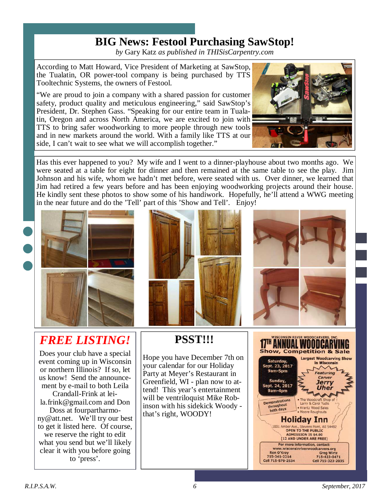### **BIG News: Festool Purchasing SawStop!**

*by* Gary Katz *as published in THISisCarpentry.com*

According to Matt Howard, Vice President of Marketing at SawStop, the Tualatin, OR power-tool company is being purchased by TTS Tooltechnic Systems, the owners of Festool.

"We are proud to join a company with a shared passion for customer safety, product quality and meticulous engineering," said SawStop's President, Dr. Stephen Gass. "Speaking for our entire team in Tualatin, Oregon and across North America, we are excited to join with TTS to bring safer woodworking to more people through new tools and in new markets around the world. With a family like TTS at our side, I can't wait to see what we will accomplish together."



Has this ever happened to you? My wife and I went to a dinner-playhouse about two months ago. We were seated at a table for eight for dinner and then remained at the same table to see the play. Jim Johnson and his wife, whom we hadn't met before, were seated with us. Over dinner, we learned that Jim had retired a few years before and has been enjoying woodworking projects around their house. He kindly sent these photos to show some of his handiwork. Hopefully, he'll attend a WWG meeting in the near future and do the 'Tell' part of this 'Show and Tell'. Enjoy!







# *FREE LISTING!*

Does your club have a special event coming up in Wisconsin or northern Illinois? If so, let us know! Send the announcement by e-mail to both Leila Crandall-Frink at leila.frink@gmail.com and Don Doss at fourpartharmony@att.net. We'll try our best to get it listed here. Of course,

we reserve the right to edit what you send but we'll likely clear it with you before going to 'press'.

# **PSST!!!**

Hope you have December 7th on your calendar for our Holiday Party at Meyer's Restaurant in Greenfield, WI - plan now to attend! This year's entertainment will be ventriloquist Mike Robinson with his sidekick Woody that's right, WOODY!

| WISCONSIN RIVER WOODCARVERS, INC.<br><b>Show, Competition &amp; Sale</b>                                                                             |                                                                                                                               |  |
|------------------------------------------------------------------------------------------------------------------------------------------------------|-------------------------------------------------------------------------------------------------------------------------------|--|
| Saturday,<br>Sept. 23, 2017<br>9am-5pm<br>Sunday,<br>Sept. 24, 2017<br>9am-4pm                                                                       | <b>Largest Woodcarving Show</b><br>in Wisconsin<br><b>Featuring</b><br>Carver<br><b>Jerry</b><br><b>Uher</b>                  |  |
| <b>Demonstrations</b><br>throughout<br>both days                                                                                                     | . The Woodcraft Shop of<br>Larry & Carol Yudis<br>· Krantz Wood Sales<br>· Moore Roughouts                                    |  |
| <b>Holiday Inn</b><br>1001 Amber Ave., Stevens Point, WI 54482<br><b>OPEN TO THE PUBLIC</b><br><b>ADMISSION IS \$4.00</b><br>(12 AND UNDER ARE FREE) |                                                                                                                               |  |
| <b>Ron O'Kray</b><br>715-341-2214<br>Cell 715-570-2534                                                                                               | For more information, contact:<br>www.wisconsinriverwoodcarvers.org<br><b>Greg Wirtz</b><br>715-423-0471<br>Cell 715-323-2035 |  |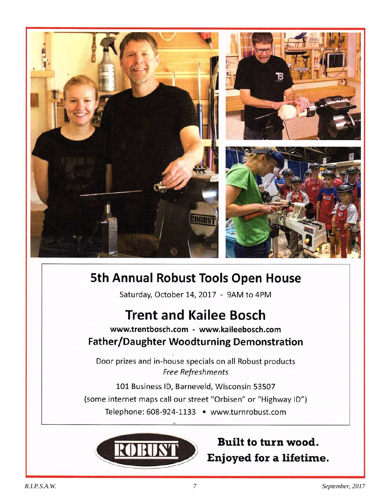

# **5th Annual Robust Tools Open House**

Saturday, October 14, 2017 - 9AM to 4PM

# **Trent and Kailee Bosch**

### www.trentbosch.com - www.kaileebosch.com Father/Daughter Woodturning Demonstration

Door prizes and in-house specials on all Robust products Free Refreshments

101 Business ID, Barneveld, Wisconsin 53507 (some internet maps call our street "Orbisen" or "Highway ID") Telephone: 608-924-1133 · www.turnrobust.com



## Built to turn wood. Enjoyed for a lifetime.